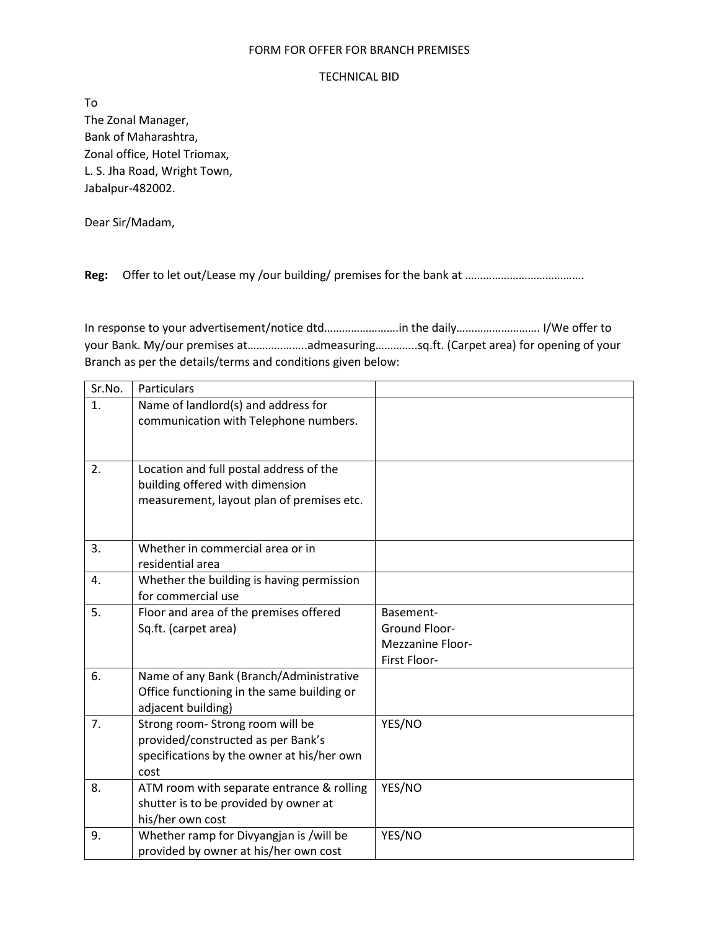## FORM FOR OFFER FOR BRANCH PREMISES

## TECHNICAL BID

To The Zonal Manager, Bank of Maharashtra, Zonal office, Hotel Triomax, L. S. Jha Road, Wright Town, Jabalpur-482002.

Dear Sir/Madam,

Reg: Offer to let out/Lease my /our building/ premises for the bank at ……………………………………

In response to your advertisement/notice dtd…………………….in the daily………………………. I/We offer to your Bank. My/our premises at………………..admeasuring…………..sq.ft. (Carpet area) for opening of your Branch as per the details/terms and conditions given below:

| Sr.No.         | Particulars                                                                           |                         |
|----------------|---------------------------------------------------------------------------------------|-------------------------|
| $\mathbf{1}$ . | Name of landlord(s) and address for                                                   |                         |
|                | communication with Telephone numbers.                                                 |                         |
|                |                                                                                       |                         |
| 2.             | Location and full postal address of the                                               |                         |
|                | building offered with dimension                                                       |                         |
|                | measurement, layout plan of premises etc.                                             |                         |
|                |                                                                                       |                         |
| 3.             | Whether in commercial area or in                                                      |                         |
|                | residential area                                                                      |                         |
| 4.             | Whether the building is having permission                                             |                         |
|                | for commercial use                                                                    |                         |
| 5.             | Floor and area of the premises offered                                                | Basement-               |
|                | Sq.ft. (carpet area)                                                                  | Ground Floor-           |
|                |                                                                                       | <b>Mezzanine Floor-</b> |
|                |                                                                                       | First Floor-            |
| 6.             | Name of any Bank (Branch/Administrative<br>Office functioning in the same building or |                         |
|                | adjacent building)                                                                    |                         |
| 7.             | Strong room-Strong room will be                                                       | YES/NO                  |
|                | provided/constructed as per Bank's                                                    |                         |
|                | specifications by the owner at his/her own                                            |                         |
|                | cost                                                                                  |                         |
| 8.             | ATM room with separate entrance & rolling                                             | YES/NO                  |
|                | shutter is to be provided by owner at                                                 |                         |
|                | his/her own cost                                                                      |                         |
| 9.             | Whether ramp for Divyangjan is /will be                                               | YES/NO                  |
|                | provided by owner at his/her own cost                                                 |                         |